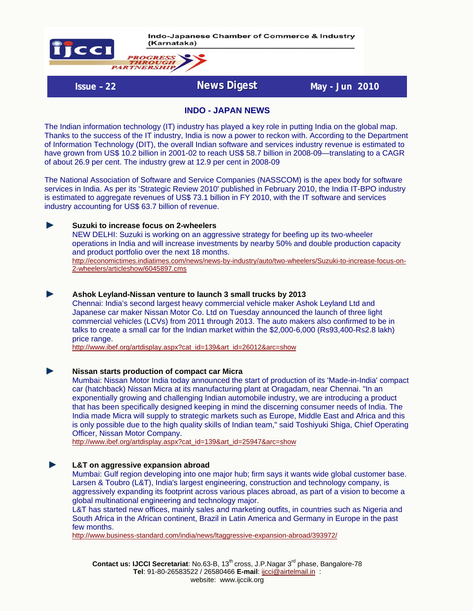

Indo-Japanese Chamber of Commerce & Industry (Karnataka)

**Issue - 22 News Digest** May - Jun 2010

#### **INDO - JAPAN NEWS**

The Indian information technology (IT) industry has played a key role in putting India on the global map. Thanks to the success of the IT industry, India is now a power to reckon with. According to the Department of Information Technology (DIT), the overall Indian software and services industry revenue is estimated to have grown from US\$ 10.2 billion in 2001-02 to reach US\$ 58.7 billion in 2008-09—translating to a CAGR of about 26.9 per cent. The industry grew at 12.9 per cent in 2008-09

The National Association of Software and Service Companies (NASSCOM) is the apex body for software services in India. As per its 'Strategic Review 2010' published in February 2010, the India IT-BPO industry is estimated to aggregate revenues of US\$ 73.1 billion in FY 2010, with the IT software and services industry accounting for US\$ 63.7 billion of revenue.

#### ь **Suzuki to increase focus on 2-wheelers**

NEW DELHI: Suzuki is working on an aggressive strategy for beefing up its two-wheeler operations in India and will increase investments by nearby 50% and double production capacity and product portfolio over the next 18 months.

[http://economictimes.indiatimes.com/news/news-by-industry/auto/two-wheelers/Suzuki-to-increase-focus-on-](http://economictimes.indiatimes.com/news/news-by-industry/auto/two-wheelers/Suzuki-to-increase-focus-on-2-wheelers/articleshow/6045897.cms)[2-wheelers/articleshow/6045897.cms](http://economictimes.indiatimes.com/news/news-by-industry/auto/two-wheelers/Suzuki-to-increase-focus-on-2-wheelers/articleshow/6045897.cms)

#### **Ashok Leyland-Nissan venture to launch 3 small trucks by 2013**

Chennai: India's second largest heavy commercial vehicle maker Ashok Leyland Ltd and Japanese car maker Nissan Motor Co. Ltd on Tuesday announced the launch of three light commercial vehicles (LCVs) from 2011 through 2013. The auto makers also confirmed to be in talks to create a small car for the Indian market within the \$2,000-6,000 (Rs93,400-Rs2.8 lakh) price range.

[http://www.ibef.org/artdisplay.aspx?cat\\_id=139&art\\_id=26012&arc=show](http://www.ibef.org/artdisplay.aspx?cat_id=139&art_id=26012&arc=show)

**Nissan starts production of compact car Micra**

Mumbai: Nissan Motor India today announced the start of production of its 'Made-in-India' compact car (hatchback) Nissan Micra at its manufacturing plant at Oragadam, near Chennai. "In an exponentially growing and challenging Indian automobile industry, we are introducing a product that has been specifically designed keeping in mind the discerning consumer needs of India. The India made Micra will supply to strategic markets such as Europe, Middle East and Africa and this is only possible due to the high quality skills of Indian team," said Toshiyuki Shiga, Chief Operating Officer, Nissan Motor Company.

[http://www.ibef.org/artdisplay.aspx?cat\\_id=139&art\\_id=25947&arc=show](http://www.ibef.org/artdisplay.aspx?cat_id=139&art_id=25947&arc=show)

#### h. **L&T on aggressive expansion abroad**

Mumbai: Gulf region developing into one major hub; firm says it wants wide global customer base. Larsen & Toubro (L&T), India's largest engineering, construction and technology company, is aggressively expanding its footprint across various places abroad, as part of a vision to become a global multinational engineering and technology major.

L&T has started new offices, mainly sales and marketing outfits, in countries such as Nigeria and South Africa in the African continent, Brazil in Latin America and Germany in Europe in the past few months.

<http://www.business-standard.com/india/news/ltaggressive-expansion-abroad/393972/>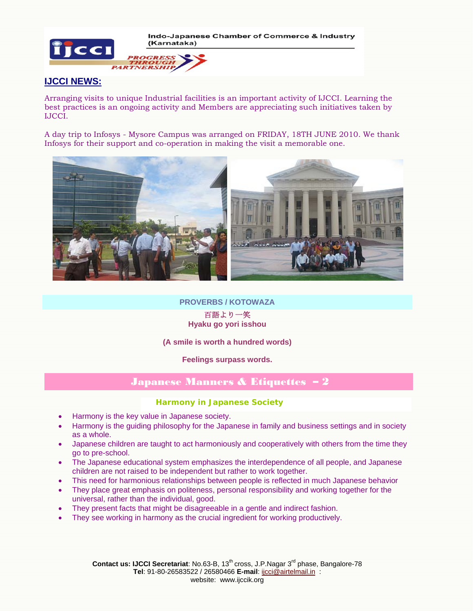Indo-Japanese Chamber of Commerce & Industry (Karnataka)



### **OGRESS THROUGH**<br>PARTNERSHIP

### **IJCCI NEWS:**

Arranging visits to unique Industrial facilities is an important activity of IJCCI. Learning the best practices is an ongoing activity and Members are appreciating such initiatives taken by IJCCI.

A day trip to Infosys - Mysore Campus was arranged on FRIDAY, 18TH JUNE 2010. We thank Infosys for their support and co-operation in making the visit a memorable one.



#### **PROVERBS / KOTOWAZA**

#### 百語より一笑 **Hyaku go yori isshou**

# **(A smile is worth a hundred words)**

## **Feelings surpass words.**

# Japanese Manners & Etiquettes – 2

#### **Harmony in Japanese Society**

- Harmony is the key value in Japanese society.
- Harmony is the guiding philosophy for the Japanese in family and business settings and in society as a whole.
- Japanese children are taught to act harmoniously and cooperatively with others from the time they go to pre-school.
- The Japanese educational system emphasizes the interdependence of all people, and Japanese children are not raised to be independent but rather to work together.
- This need for harmonious relationships between people is reflected in much Japanese behavior
- They place great emphasis on politeness, personal responsibility and working together for the universal, rather than the individual, good.
- They present facts that might be disagreeable in a gentle and indirect fashion.
- They see working in harmony as the crucial ingredient for working productively.